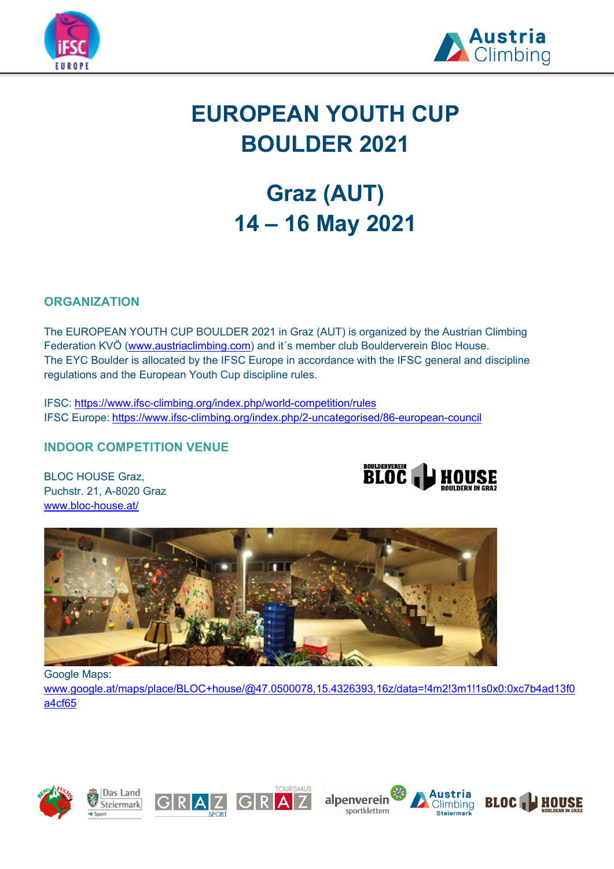



# **EUROPEAN YOUTH CUP BOULDER 2021**

# **Graz (AUT) 14 – 16 May 2021**

# **ORGANIZATION**

The EUROPEAN YOUTH CUP BOULDER 2021 in Graz (AUT) is organized by the Austrian Climbing Federation KVÖ (www.austriaclimbing.com) and it´s member club Boulderverein Bloc House. The EYC Boulder is allocated by the IFSC Europe in accordance with the IFSC general and discipline regulations and the European Youth Cup discipline rules.

IFSC: https://www.ifsc-climbing.org/index.php/world-competition/rules IFSC Europe: https://www.ifsc-climbing.org/index.php/2-uncategorised/86-european-council

# **INDOOR COMPETITION VENUE**

BLOC HOUSE Graz, Puchstr. 21, A-8020 Graz www.bloc-house.at/





Google Maps:

www.google.at/maps/place/BLOC+house/@47.0500078,15.4326393,16z/data=!4m2!3m1!1s0x0:0xc7b4ad13f0 a4cf65









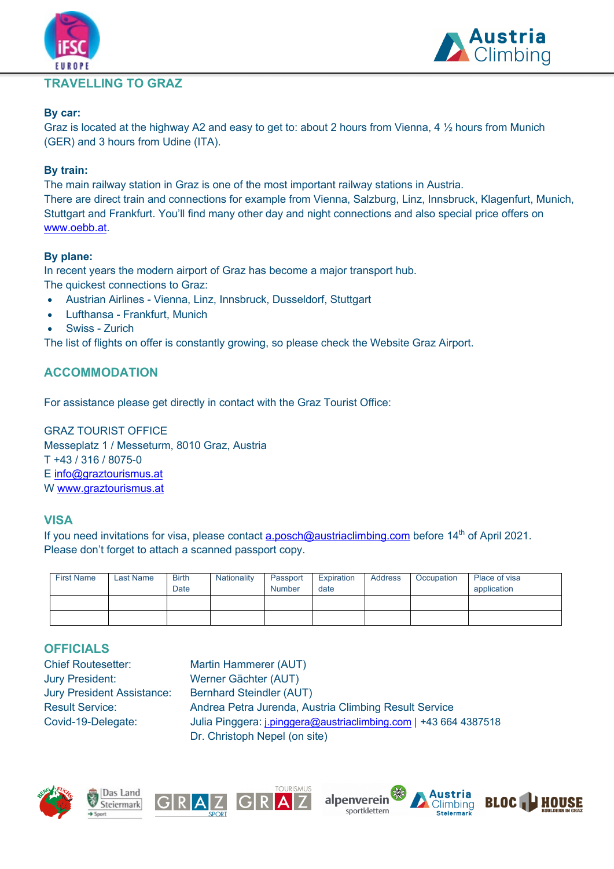# **TRAVELLING TO GRAZ**



#### **By car:**

Graz is located at the highway A2 and easy to get to: about 2 hours from Vienna, 4 ½ hours from Munich (GER) and 3 hours from Udine (ITA).

#### **By train:**

The main railway station in Graz is one of the most important railway stations in Austria. There are direct train and connections for example from Vienna, Salzburg, Linz, Innsbruck, Klagenfurt, Munich, Stuttgart and Frankfurt. You'll find many other day and night connections and also special price offers on www.oebb.at.

#### **By plane:**

In recent years the modern airport of Graz has become a major transport hub. The quickest connections to Graz:

- Austrian Airlines Vienna, Linz, Innsbruck, Dusseldorf, Stuttgart
- Lufthansa Frankfurt, Munich
- Swiss Zurich

The list of flights on offer is constantly growing, so please check the Website Graz Airport.

## **ACCOMMODATION**

For assistance please get directly in contact with the Graz Tourist Office:

GRAZ TOURIST OFFICE Messeplatz 1 / Messeturm, 8010 Graz, Austria T +43 / 316 / 8075-0 E info@graztourismus.at W www.graztourismus.at

## **VISA**

If you need invitations for visa, please contact a.posch@austriaclimbing.com before 14<sup>th</sup> of April 2021. Please don't forget to attach a scanned passport copy.

| <b>First Name</b> | <b>Last Name</b> | <b>Birth</b><br>Date | <b>Nationality</b> | Passport<br><b>Number</b> | Expiration<br>date | Address | Occupation | Place of visa<br>application |
|-------------------|------------------|----------------------|--------------------|---------------------------|--------------------|---------|------------|------------------------------|
|                   |                  |                      |                    |                           |                    |         |            |                              |
|                   |                  |                      |                    |                           |                    |         |            |                              |

# **OFFICIALS**

Chief Routesetter: Martin Hammerer (AUT) Jury President: Werner Gächter (AUT) Jury President Assistance: Bernhard Steindler (AUT)

Result Service: Andrea Petra Jurenda, Austria Climbing Result Service Covid-19-Delegate: Julia Pinggera: j.pinggera@austriaclimbing.com | +43 664 4387518 Dr. Christoph Nepel (on site)







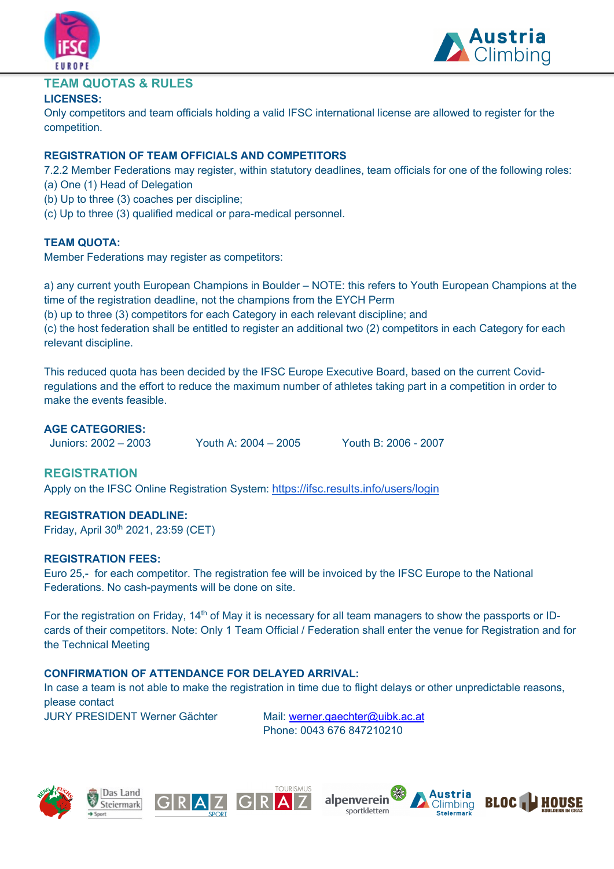



### **TEAM QUOTAS & RULES**

#### **LICENSES:**

Only competitors and team officials holding a valid IFSC international license are allowed to register for the competition.

#### **REGISTRATION OF TEAM OFFICIALS AND COMPETITORS**

7.2.2 Member Federations may register, within statutory deadlines, team officials for one of the following roles:

- (a) One (1) Head of Delegation
- (b) Up to three (3) coaches per discipline;
- (c) Up to three (3) qualified medical or para-medical personnel.

#### **TEAM QUOTA:**

Member Federations may register as competitors:

a) any current youth European Champions in Boulder – NOTE: this refers to Youth European Champions at the time of the registration deadline, not the champions from the EYCH Perm

(b) up to three (3) competitors for each Category in each relevant discipline; and

(c) the host federation shall be entitled to register an additional two (2) competitors in each Category for each relevant discipline.

This reduced quota has been decided by the IFSC Europe Executive Board, based on the current Covidregulations and the effort to reduce the maximum number of athletes taking part in a competition in order to make the events feasible.

#### **AGE CATEGORIES:**

Juniors: 2002 – 2003 Youth A: 2004 – 2005 Youth B: 2006 - 2007

#### **REGISTRATION**

Apply on the IFSC Online Registration System: https://ifsc.results.info/users/login

#### **REGISTRATION DEADLINE:**

Friday, April 30<sup>th</sup> 2021, 23:59 (CET)

#### **REGISTRATION FEES:**

Euro 25,- for each competitor. The registration fee will be invoiced by the IFSC Europe to the National Federations. No cash-payments will be done on site.

For the registration on Friday, 14<sup>th</sup> of May it is necessary for all team managers to show the passports or IDcards of their competitors. Note: Only 1 Team Official / Federation shall enter the venue for Registration and for the Technical Meeting

#### **CONFIRMATION OF ATTENDANCE FOR DELAYED ARRIVAL:**

In case a team is not able to make the registration in time due to flight delays or other unpredictable reasons, please contact

JURY PRESIDENT Werner Gächter Mail: werner.gaechter@uibk.ac.at Phone: 0043 676 847210210







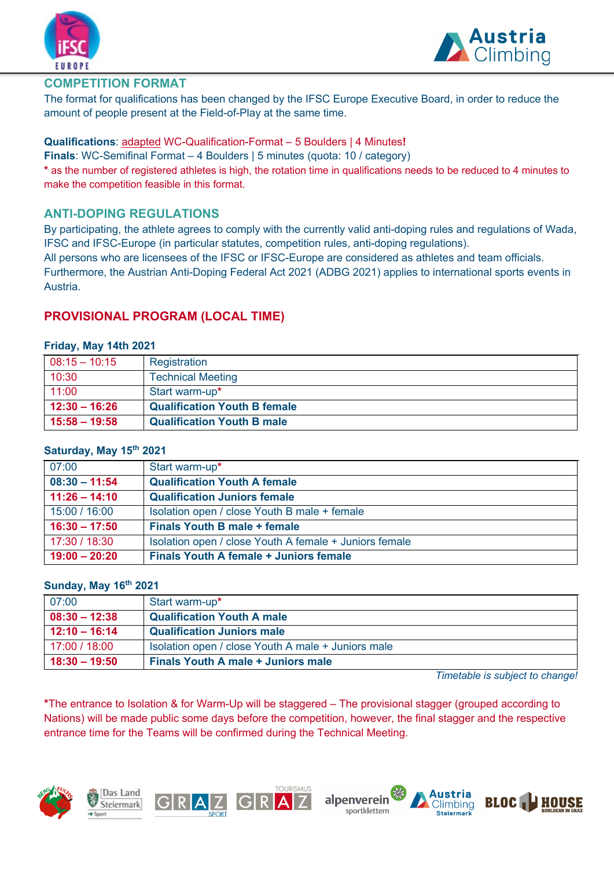



#### **COMPETITION FORMAT**

The format for qualifications has been changed by the IFSC Europe Executive Board, in order to reduce the amount of people present at the Field-of-Play at the same time.

#### **Qualifications**: adapted WC-Qualification-Format – 5 Boulders | 4 Minutes**!**

**Finals**: WC-Semifinal Format – 4 Boulders | 5 minutes (quota: 10 / category)

**\*** as the number of registered athletes is high, the rotation time in qualifications needs to be reduced to 4 minutes to make the competition feasible in this format.

#### **ANTI-DOPING REGULATIONS**

By participating, the athlete agrees to comply with the currently valid anti-doping rules and regulations of Wada, IFSC and IFSC-Europe (in particular statutes, competition rules, anti-doping regulations).

All persons who are licensees of the IFSC or IFSC-Europe are considered as athletes and team officials.

Furthermore, the Austrian Anti-Doping Federal Act 2021 (ADBG 2021) applies to international sports events in Austria.

#### **PROVISIONAL PROGRAM (LOCAL TIME)**

#### **Friday, May 14th 2021**

| $08:15 - 10:15$ | Registration                        |
|-----------------|-------------------------------------|
| 10:30           | <b>Technical Meeting</b>            |
| 11:00           | Start warm-up*                      |
| $12:30 - 16:26$ | <b>Qualification Youth B female</b> |
| $15:58 - 19:58$ | <b>Qualification Youth B male</b>   |

#### **Saturday, May 15th 2021**

| 07:00           | Start warm-up*                                         |
|-----------------|--------------------------------------------------------|
| $08:30 - 11:54$ | <b>Qualification Youth A female</b>                    |
| $11:26 - 14:10$ | <b>Qualification Juniors female</b>                    |
| 15:00 / 16:00   | Isolation open / close Youth B male + female           |
| $16:30 - 17:50$ | <b>Finals Youth B male + female</b>                    |
| 17:30 / 18:30   | Isolation open / close Youth A female + Juniors female |
| $19:00 - 20:20$ | <b>Finals Youth A female + Juniors female</b>          |

#### **Sunday, May 16th 2021**

| 07:00           | Start warm-up*                                     |
|-----------------|----------------------------------------------------|
| $08:30 - 12:38$ | <b>Qualification Youth A male</b>                  |
| $12:10 - 16:14$ | <b>Qualification Juniors male</b>                  |
| 17:00 / 18:00   | Isolation open / close Youth A male + Juniors male |
| $18:30 - 19:50$ | <b>Finals Youth A male + Juniors male</b>          |

*Timetable is subject to change!*

**\***The entrance to Isolation & for Warm-Up will be staggered – The provisional stagger (grouped according to Nations) will be made public some days before the competition, however, the final stagger and the respective entrance time for the Teams will be confirmed during the Technical Meeting.



Das Land Steiermark



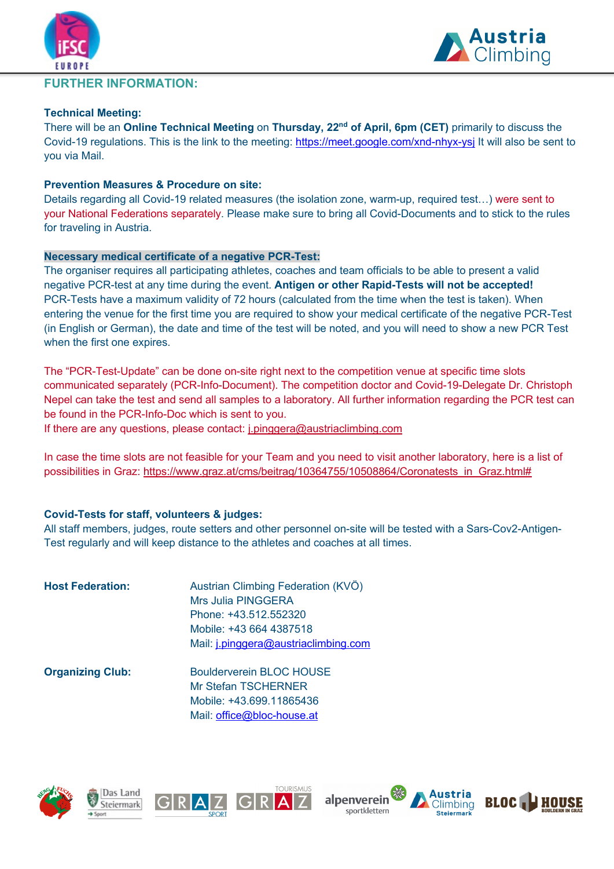

#### **FURTHER INFORMATION:**

#### **Technical Meeting:**

There will be an **Online Technical Meeting** on **Thursday, 22nd of April, 6pm (CET)** primarily to discuss the Covid-19 regulations. This is the link to the meeting: https://meet.google.com/xnd-nhyx-ysj It will also be sent to you via Mail.

#### **Prevention Measures & Procedure on site:**

Details regarding all Covid-19 related measures (the isolation zone, warm-up, required test…) were sent to your National Federations separately. Please make sure to bring all Covid-Documents and to stick to the rules for traveling in Austria.

#### **Necessary medical certificate of a negative PCR-Test:**

The organiser requires all participating athletes, coaches and team officials to be able to present a valid negative PCR-test at any time during the event. **Antigen or other Rapid-Tests will not be accepted!** PCR-Tests have a maximum validity of 72 hours (calculated from the time when the test is taken). When entering the venue for the first time you are required to show your medical certificate of the negative PCR-Test (in English or German), the date and time of the test will be noted, and you will need to show a new PCR Test when the first one expires.

The "PCR-Test-Update" can be done on-site right next to the competition venue at specific time slots communicated separately (PCR-Info-Document). The competition doctor and Covid-19-Delegate Dr. Christoph Nepel can take the test and send all samples to a laboratory. All further information regarding the PCR test can be found in the PCR-Info-Doc which is sent to you.

If there are any questions, please contact: j.pinggera@austriaclimbing.com

In case the time slots are not feasible for your Team and you need to visit another laboratory, here is a list of possibilities in Graz: https://www.graz.at/cms/beitrag/10364755/10508864/Coronatests\_in\_Graz.html#

#### **Covid-Tests for staff, volunteers & judges:**

All staff members, judges, route setters and other personnel on-site will be tested with a Sars-Cov2-Antigen-Test regularly and will keep distance to the athletes and coaches at all times.

| <b>Host Federation:</b> | Austrian Climbing Federation (KVÖ)<br>Mrs Julia PINGGERA<br>Phone: +43.512.552320<br>Mobile: +43 664 4387518<br>Mail: j.pinggera@austriaclimbing.com |
|-------------------------|------------------------------------------------------------------------------------------------------------------------------------------------------|
| <b>Organizing Club:</b> | Boulderverein BLOC HOUSE<br>Mr Stefan TSCHERNER<br>Mobile: +43.699.11865436<br>Mail: office@bloc-house.at                                            |